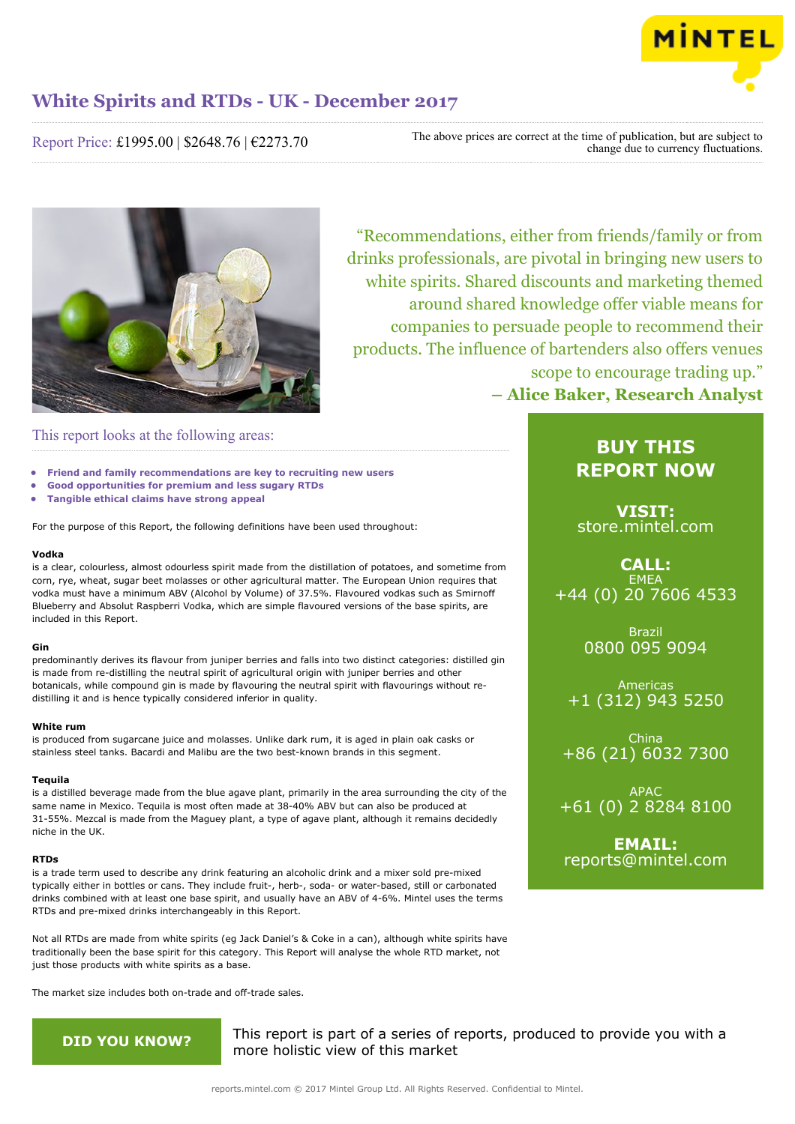

Report Price: £1995.00 | \$2648.76 | €2273.70

The above prices are correct at the time of publication, but are subject to change due to currency fluctuations.



"Recommendations, either from friends/family or from drinks professionals, are pivotal in bringing new users to white spirits. Shared discounts and marketing themed around shared knowledge offer viable means for companies to persuade people to recommend their products. The influence of bartenders also offers venues scope to encourage trading up." **– Alice Baker, Research Analyst**

# This report looks at the following areas:

- **• Friend and family recommendations are key to recruiting new users**
- **• Good opportunities for premium and less sugary RTDs**
- **• Tangible ethical claims have strong appeal**

For the purpose of this Report, the following definitions have been used throughout:

# **Vodka**

is a clear, colourless, almost odourless spirit made from the distillation of potatoes, and sometime from corn, rye, wheat, sugar beet molasses or other agricultural matter. The European Union requires that vodka must have a minimum ABV (Alcohol by Volume) of 37.5%. Flavoured vodkas such as Smirnoff Blueberry and Absolut Raspberri Vodka, which are simple flavoured versions of the base spirits, are included in this Report.

# **Gin**

predominantly derives its flavour from juniper berries and falls into two distinct categories: distilled gin is made from re-distilling the neutral spirit of agricultural origin with juniper berries and other botanicals, while compound gin is made by flavouring the neutral spirit with flavourings without redistilling it and is hence typically considered inferior in quality.

# **White rum**

is produced from sugarcane juice and molasses. Unlike dark rum, it is aged in plain oak casks or stainless steel tanks. Bacardi and Malibu are the two best-known brands in this segment.

# **Tequila**

is a distilled beverage made from the blue agave plant, primarily in the area surrounding the city of the same name in Mexico. Tequila is most often made at 38-40% ABV but can also be produced at 31-55%. Mezcal is made from the Maguey plant, a type of agave plant, although it remains decidedly niche in the UK.

# **RTDs**

is a trade term used to describe any drink featuring an alcoholic drink and a mixer sold pre-mixed typically either in bottles or cans. They include fruit-, herb-, soda- or water-based, still or carbonated drinks combined with at least one base spirit, and usually have an ABV of 4-6%. Mintel uses the terms RTDs and pre-mixed drinks interchangeably in this Report.

Not all RTDs are made from white spirits (eg Jack Daniel's & Coke in a can), although white spirits have traditionally been the base spirit for this category. This Report will analyse the whole RTD market, not just those products with white spirits as a base.

The market size includes both on-trade and off-trade sales.

**DID YOU KNOW?** This report is part of a series of reports, produced to provide you with a more holistic view of this market

# **BUY THIS REPORT NOW**

**VISIT:** [store.mintel.com](http://reports.mintel.com//display/store/794389/)

**CALL: EMEA** +44 (0) 20 7606 4533

> Brazil 0800 095 9094

Americas +1 (312) 943 5250

China +86 (21) 6032 7300

APAC +61 (0) 2 8284 8100

**EMAIL:** [reports@mintel.com](mailto:reports@mintel.com)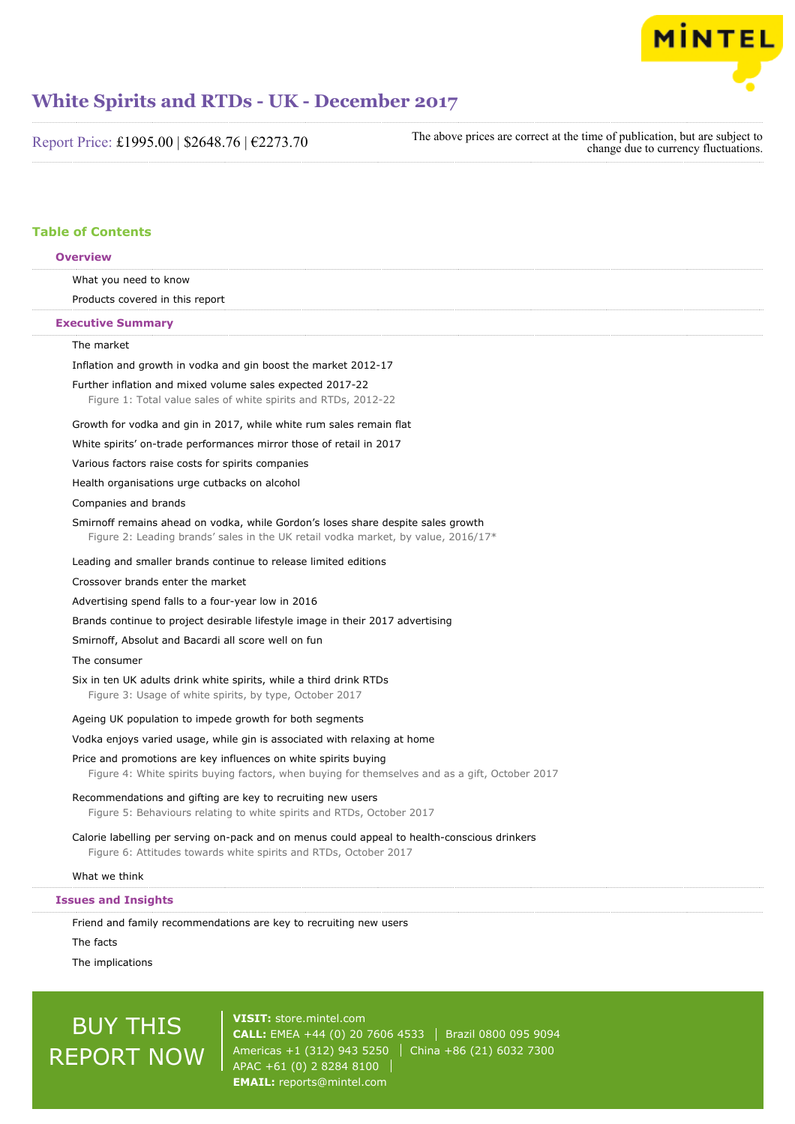

Report Price: £1995.00 | \$2648.76 | €2273.70

The above prices are correct at the time of publication, but are subject to change due to currency fluctuations.

# **Table of Contents**

|                            | <b>Overview</b>                                                                                                                                                       |  |  |
|----------------------------|-----------------------------------------------------------------------------------------------------------------------------------------------------------------------|--|--|
|                            | What you need to know                                                                                                                                                 |  |  |
|                            | Products covered in this report                                                                                                                                       |  |  |
|                            | <b>Executive Summary</b>                                                                                                                                              |  |  |
|                            | The market                                                                                                                                                            |  |  |
|                            | Inflation and growth in vodka and gin boost the market 2012-17                                                                                                        |  |  |
|                            | Further inflation and mixed volume sales expected 2017-22<br>Figure 1: Total value sales of white spirits and RTDs, 2012-22                                           |  |  |
|                            | Growth for vodka and gin in 2017, while white rum sales remain flat                                                                                                   |  |  |
|                            | White spirits' on-trade performances mirror those of retail in 2017                                                                                                   |  |  |
|                            | Various factors raise costs for spirits companies                                                                                                                     |  |  |
|                            | Health organisations urge cutbacks on alcohol                                                                                                                         |  |  |
|                            | Companies and brands                                                                                                                                                  |  |  |
|                            | Smirnoff remains ahead on vodka, while Gordon's loses share despite sales growth<br>Figure 2: Leading brands' sales in the UK retail vodka market, by value, 2016/17* |  |  |
|                            | Leading and smaller brands continue to release limited editions                                                                                                       |  |  |
|                            | Crossover brands enter the market                                                                                                                                     |  |  |
|                            | Advertising spend falls to a four-year low in 2016                                                                                                                    |  |  |
|                            | Brands continue to project desirable lifestyle image in their 2017 advertising                                                                                        |  |  |
|                            | Smirnoff, Absolut and Bacardi all score well on fun                                                                                                                   |  |  |
|                            | The consumer                                                                                                                                                          |  |  |
|                            | Six in ten UK adults drink white spirits, while a third drink RTDs<br>Figure 3: Usage of white spirits, by type, October 2017                                         |  |  |
|                            | Ageing UK population to impede growth for both segments                                                                                                               |  |  |
|                            | Vodka enjoys varied usage, while gin is associated with relaxing at home                                                                                              |  |  |
|                            | Price and promotions are key influences on white spirits buying<br>Figure 4: White spirits buying factors, when buying for themselves and as a gift, October 2017     |  |  |
|                            | Recommendations and gifting are key to recruiting new users<br>Figure 5: Behaviours relating to white spirits and RTDs, October 2017                                  |  |  |
|                            | Calorie labelling per serving on-pack and on menus could appeal to health-conscious drinkers<br>Figure 6: Attitudes towards white spirits and RTDs, October 2017      |  |  |
|                            | What we think                                                                                                                                                         |  |  |
| <b>Issues and Insights</b> |                                                                                                                                                                       |  |  |
|                            | Friend and family recommendations are key to recruiting new users                                                                                                     |  |  |
|                            | The facts                                                                                                                                                             |  |  |

The implications

# BUY THIS REPORT NOW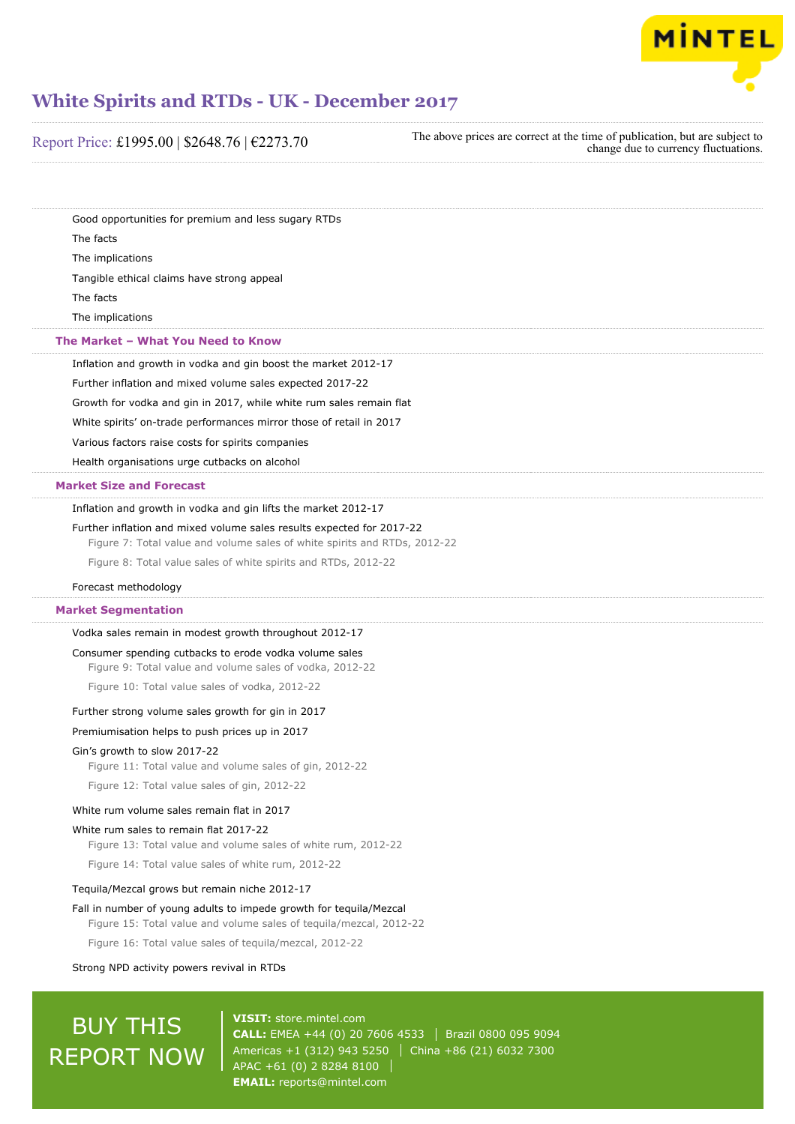

Report Price: £1995.00 | \$2648.76 | €2273.70

The above prices are correct at the time of publication, but are subject to change due to currency fluctuations.

Good opportunities for premium and less sugary RTDs The facts The implications Tangible ethical claims have strong appeal The facts

The implications

# **The Market – What You Need to Know**

Inflation and growth in vodka and gin boost the market 2012-17

Further inflation and mixed volume sales expected 2017-22

Growth for vodka and gin in 2017, while white rum sales remain flat

White spirits' on-trade performances mirror those of retail in 2017

Various factors raise costs for spirits companies

Health organisations urge cutbacks on alcohol

#### **Market Size and Forecast**

Inflation and growth in vodka and gin lifts the market 2012-17

## Further inflation and mixed volume sales results expected for 2017-22

Figure 7: Total value and volume sales of white spirits and RTDs, 2012-22

Figure 8: Total value sales of white spirits and RTDs, 2012-22

#### Forecast methodology

# **Market Segmentation**

# Vodka sales remain in modest growth throughout 2012-17

Consumer spending cutbacks to erode vodka volume sales Figure 9: Total value and volume sales of vodka, 2012-22

Figure 10: Total value sales of vodka, 2012-22

# Further strong volume sales growth for gin in 2017

# Premiumisation helps to push prices up in 2017

# Gin's growth to slow 2017-22

Figure 11: Total value and volume sales of gin, 2012-22

Figure 12: Total value sales of gin, 2012-22

# White rum volume sales remain flat in 2017

### White rum sales to remain flat 2017-22

Figure 13: Total value and volume sales of white rum, 2012-22

Figure 14: Total value sales of white rum, 2012-22

# Tequila/Mezcal grows but remain niche 2012-17

Fall in number of young adults to impede growth for tequila/Mezcal Figure 15: Total value and volume sales of tequila/mezcal, 2012-22

Figure 16: Total value sales of tequila/mezcal, 2012-22

### Strong NPD activity powers revival in RTDs

# BUY THIS REPORT NOW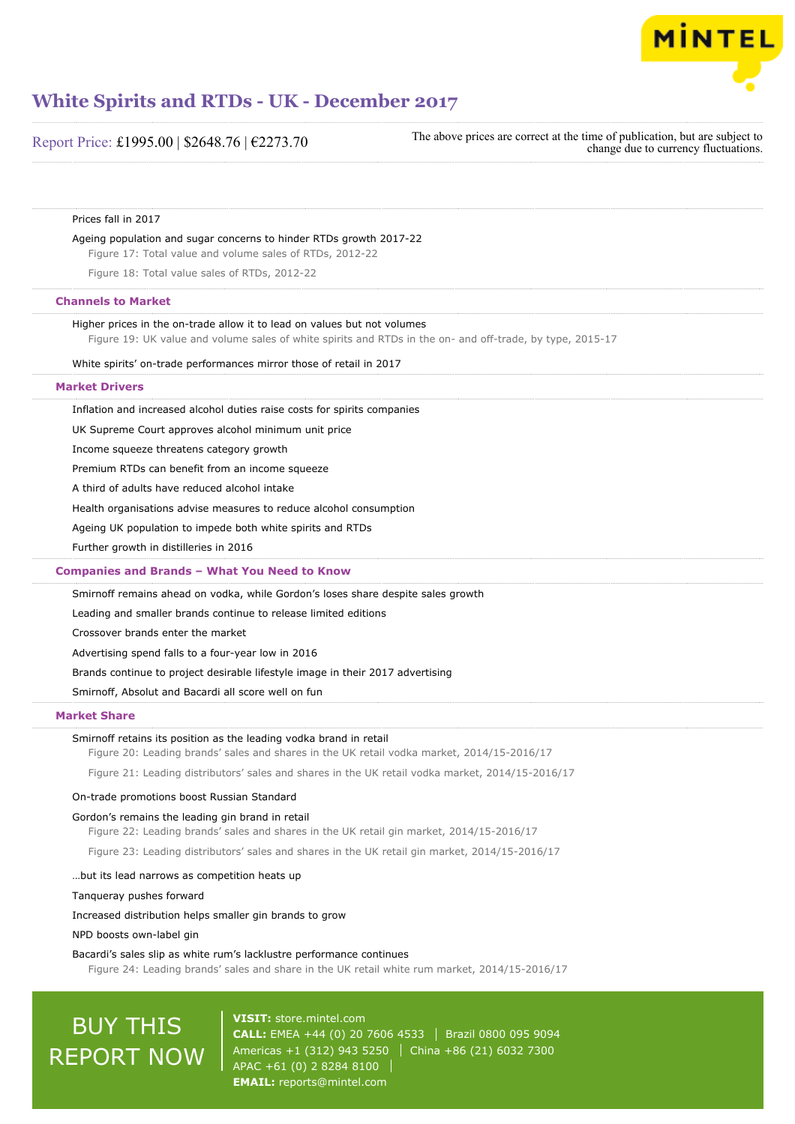

Report Price: £1995.00 | \$2648.76 | €2273.70

The above prices are correct at the time of publication, but are subject to change due to currency fluctuations.

# Prices fall in 2017

Ageing population and sugar concerns to hinder RTDs growth 2017-22

Figure 17: Total value and volume sales of RTDs, 2012-22

Figure 18: Total value sales of RTDs, 2012-22

# **Channels to Market**

Higher prices in the on-trade allow it to lead on values but not volumes

Figure 19: UK value and volume sales of white spirits and RTDs in the on- and off-trade, by type, 2015-17

### White spirits' on-trade performances mirror those of retail in 2017

## **Market Drivers**

Inflation and increased alcohol duties raise costs for spirits companies

UK Supreme Court approves alcohol minimum unit price

Income squeeze threatens category growth

Premium RTDs can benefit from an income squeeze

A third of adults have reduced alcohol intake

Health organisations advise measures to reduce alcohol consumption

Ageing UK population to impede both white spirits and RTDs

Further growth in distilleries in 2016

# **Companies and Brands – What You Need to Know**

Smirnoff remains ahead on vodka, while Gordon's loses share despite sales growth

Leading and smaller brands continue to release limited editions

Crossover brands enter the market

Advertising spend falls to a four-year low in 2016

Brands continue to project desirable lifestyle image in their 2017 advertising

Smirnoff, Absolut and Bacardi all score well on fun

# **Market Share**

# Smirnoff retains its position as the leading vodka brand in retail

Figure 20: Leading brands' sales and shares in the UK retail vodka market, 2014/15-2016/17

Figure 21: Leading distributors' sales and shares in the UK retail vodka market, 2014/15-2016/17

# On-trade promotions boost Russian Standard

# Gordon's remains the leading gin brand in retail

Figure 22: Leading brands' sales and shares in the UK retail gin market, 2014/15-2016/17

Figure 23: Leading distributors' sales and shares in the UK retail gin market, 2014/15-2016/17

…but its lead narrows as competition heats up

## Tanqueray pushes forward

Increased distribution helps smaller gin brands to grow

NPD boosts own-label gin

### Bacardi's sales slip as white rum's lacklustre performance continues

Figure 24: Leading brands' sales and share in the UK retail white rum market, 2014/15-2016/17

# **BUY THIS** REPORT NOW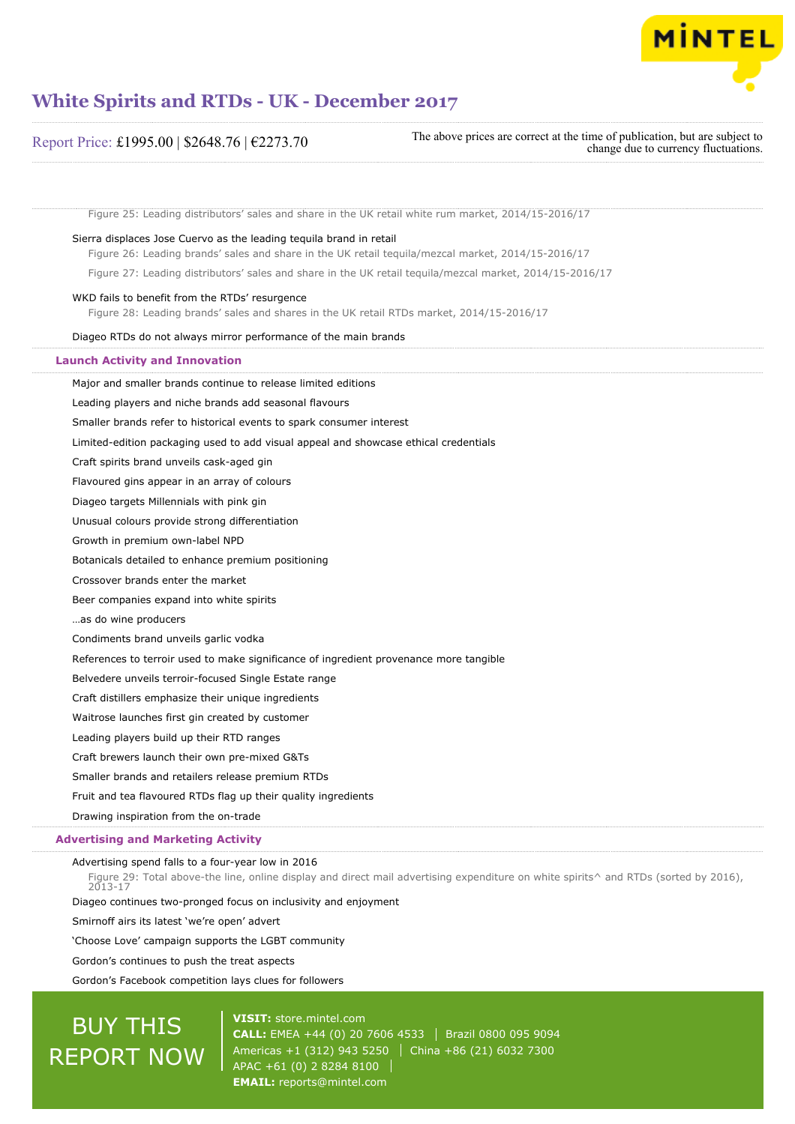

# Report Price: £1995.00 | \$2648.76 | €2273.70

The above prices are correct at the time of publication, but are subject to change due to currency fluctuations.

Figure 25: Leading distributors' sales and share in the UK retail white rum market, 2014/15-2016/17

# Sierra displaces Jose Cuervo as the leading tequila brand in retail

Figure 26: Leading brands' sales and share in the UK retail tequila/mezcal market, 2014/15-2016/17

Figure 27: Leading distributors' sales and share in the UK retail tequila/mezcal market, 2014/15-2016/17

# WKD fails to benefit from the RTDs' resurgence

Figure 28: Leading brands' sales and shares in the UK retail RTDs market, 2014/15-2016/17

### Diageo RTDs do not always mirror performance of the main brands

### **Launch Activity and Innovation**

Major and smaller brands continue to release limited editions

Leading players and niche brands add seasonal flavours

Smaller brands refer to historical events to spark consumer interest

Limited-edition packaging used to add visual appeal and showcase ethical credentials

Craft spirits brand unveils cask-aged gin

Flavoured gins appear in an array of colours

Diageo targets Millennials with pink gin

Unusual colours provide strong differentiation

Growth in premium own-label NPD

Botanicals detailed to enhance premium positioning

Crossover brands enter the market

Beer companies expand into white spirits

…as do wine producers

Condiments brand unveils garlic vodka

References to terroir used to make significance of ingredient provenance more tangible

Belvedere unveils terroir-focused Single Estate range

Craft distillers emphasize their unique ingredients

Waitrose launches first gin created by customer

Leading players build up their RTD ranges

Craft brewers launch their own pre-mixed G&Ts

Smaller brands and retailers release premium RTDs

Fruit and tea flavoured RTDs flag up their quality ingredients

Drawing inspiration from the on-trade

# **Advertising and Marketing Activity**

Advertising spend falls to a four-year low in 2016

Figure 29: Total above-the line, online display and direct mail advertising expenditure on white spirits^ and RTDs (sorted by 2016), 2013-17

Diageo continues two-pronged focus on inclusivity and enjoyment

Smirnoff airs its latest 'we're open' advert

'Choose Love' campaign supports the LGBT community

Gordon's continues to push the treat aspects

Gordon's Facebook competition lays clues for followers

# BUY THIS REPORT NOW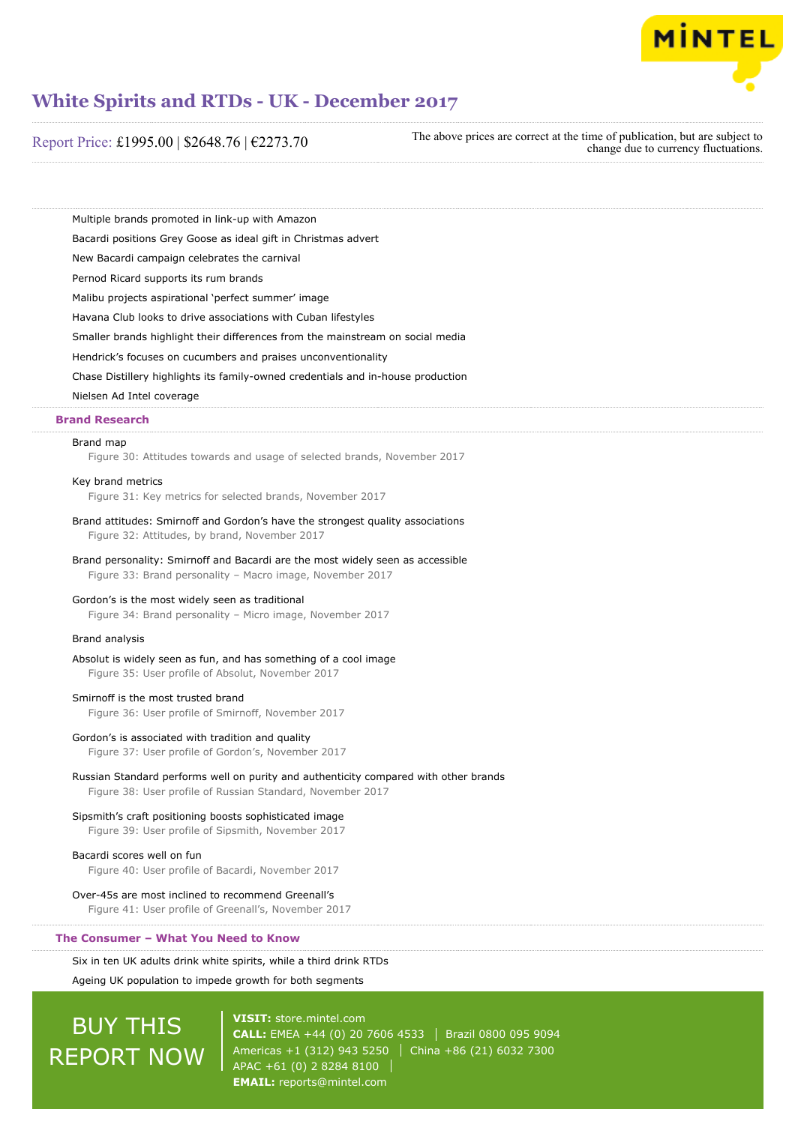

Report Price: £1995.00 | \$2648.76 | €2273.70

The above prices are correct at the time of publication, but are subject to change due to currency fluctuations.

Multiple brands promoted in link-up with Amazon Bacardi positions Grey Goose as ideal gift in Christmas advert New Bacardi campaign celebrates the carnival Pernod Ricard supports its rum brands Malibu projects aspirational 'perfect summer' image Havana Club looks to drive associations with Cuban lifestyles Smaller brands highlight their differences from the mainstream on social media Hendrick's focuses on cucumbers and praises unconventionality Chase Distillery highlights its family-owned credentials and in-house production Nielsen Ad Intel coverage **Brand Research**

### Brand map

Figure 30: Attitudes towards and usage of selected brands, November 2017

Key brand metrics

Figure 31: Key metrics for selected brands, November 2017

- Brand attitudes: Smirnoff and Gordon's have the strongest quality associations Figure 32: Attitudes, by brand, November 2017
- Brand personality: Smirnoff and Bacardi are the most widely seen as accessible Figure 33: Brand personality – Macro image, November 2017

# Gordon's is the most widely seen as traditional

Figure 34: Brand personality – Micro image, November 2017

### Brand analysis

Absolut is widely seen as fun, and has something of a cool image Figure 35: User profile of Absolut, November 2017

## Smirnoff is the most trusted brand

Figure 36: User profile of Smirnoff, November 2017

# Gordon's is associated with tradition and quality

Figure 37: User profile of Gordon's, November 2017

Russian Standard performs well on purity and authenticity compared with other brands Figure 38: User profile of Russian Standard, November 2017

### Sipsmith's craft positioning boosts sophisticated image

Figure 39: User profile of Sipsmith, November 2017

# Bacardi scores well on fun Figure 40: User profile of Bacardi, November 2017

Over-45s are most inclined to recommend Greenall's

Figure 41: User profile of Greenall's, November 2017

### **The Consumer – What You Need to Know**

Six in ten UK adults drink white spirits, while a third drink RTDs

# Ageing UK population to impede growth for both segments

# BUY THIS REPORT NOW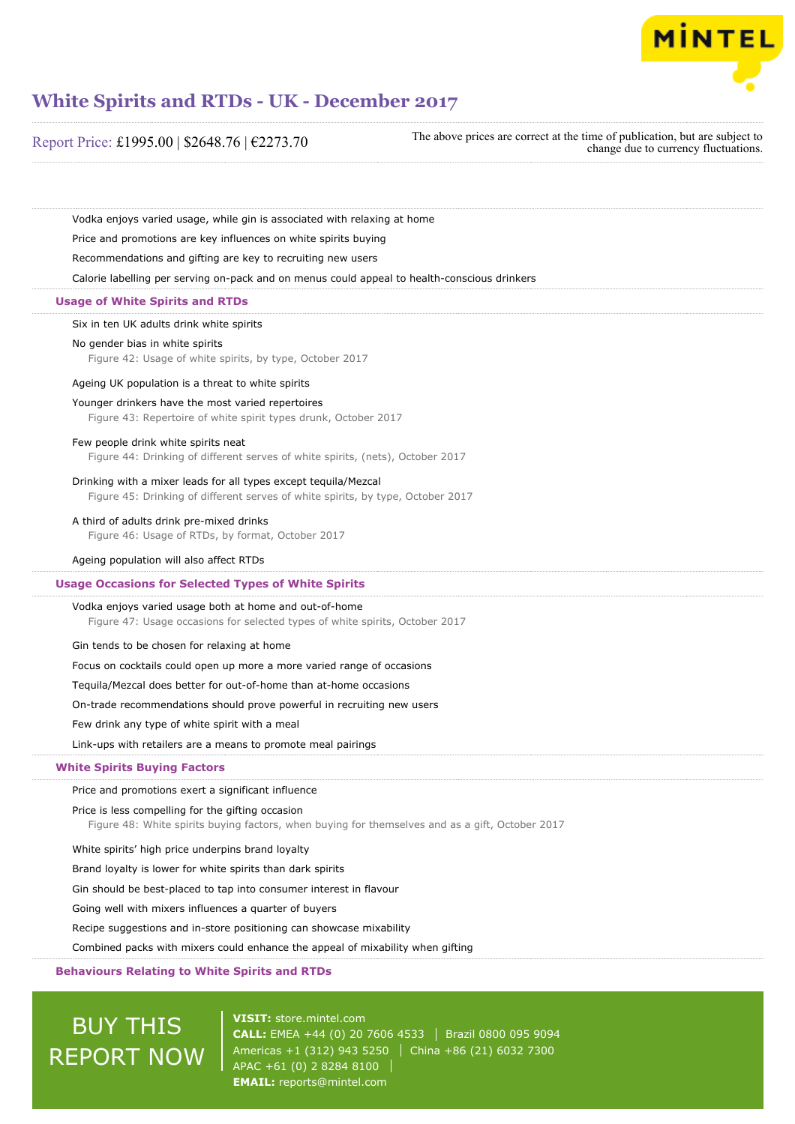

|  | Report Price: £1995.00   \$2648.76   €2273.70 |  |  |  |
|--|-----------------------------------------------|--|--|--|
|--|-----------------------------------------------|--|--|--|

The above prices are correct at the time of publication, but are subject to change due to currency fluctuations.

Vodka enjoys varied usage, while gin is associated with relaxing at home

Price and promotions are key influences on white spirits buying

Recommendations and gifting are key to recruiting new users

Calorie labelling per serving on-pack and on menus could appeal to health-conscious drinkers

## **Usage of White Spirits and RTDs**

Six in ten UK adults drink white spirits

## No gender bias in white spirits

Figure 42: Usage of white spirits, by type, October 2017

#### Ageing UK population is a threat to white spirits

Younger drinkers have the most varied repertoires Figure 43: Repertoire of white spirit types drunk, October 2017

### Few people drink white spirits neat

Figure 44: Drinking of different serves of white spirits, (nets), October 2017

### Drinking with a mixer leads for all types except tequila/Mezcal

Figure 45: Drinking of different serves of white spirits, by type, October 2017

#### A third of adults drink pre-mixed drinks

Figure 46: Usage of RTDs, by format, October 2017

### Ageing population will also affect RTDs

### **Usage Occasions for Selected Types of White Spirits**

Vodka enjoys varied usage both at home and out-of-home

Figure 47: Usage occasions for selected types of white spirits, October 2017

### Gin tends to be chosen for relaxing at home

Focus on cocktails could open up more a more varied range of occasions

Tequila/Mezcal does better for out-of-home than at-home occasions

On-trade recommendations should prove powerful in recruiting new users

Few drink any type of white spirit with a meal

Link-ups with retailers are a means to promote meal pairings

# **White Spirits Buying Factors**

Price and promotions exert a significant influence

Price is less compelling for the gifting occasion

Figure 48: White spirits buying factors, when buying for themselves and as a gift, October 2017

White spirits' high price underpins brand loyalty

Brand loyalty is lower for white spirits than dark spirits

Gin should be best-placed to tap into consumer interest in flavour

Going well with mixers influences a quarter of buyers

Recipe suggestions and in-store positioning can showcase mixability

Combined packs with mixers could enhance the appeal of mixability when gifting

# **Behaviours Relating to White Spirits and RTDs**

# BUY THIS REPORT NOW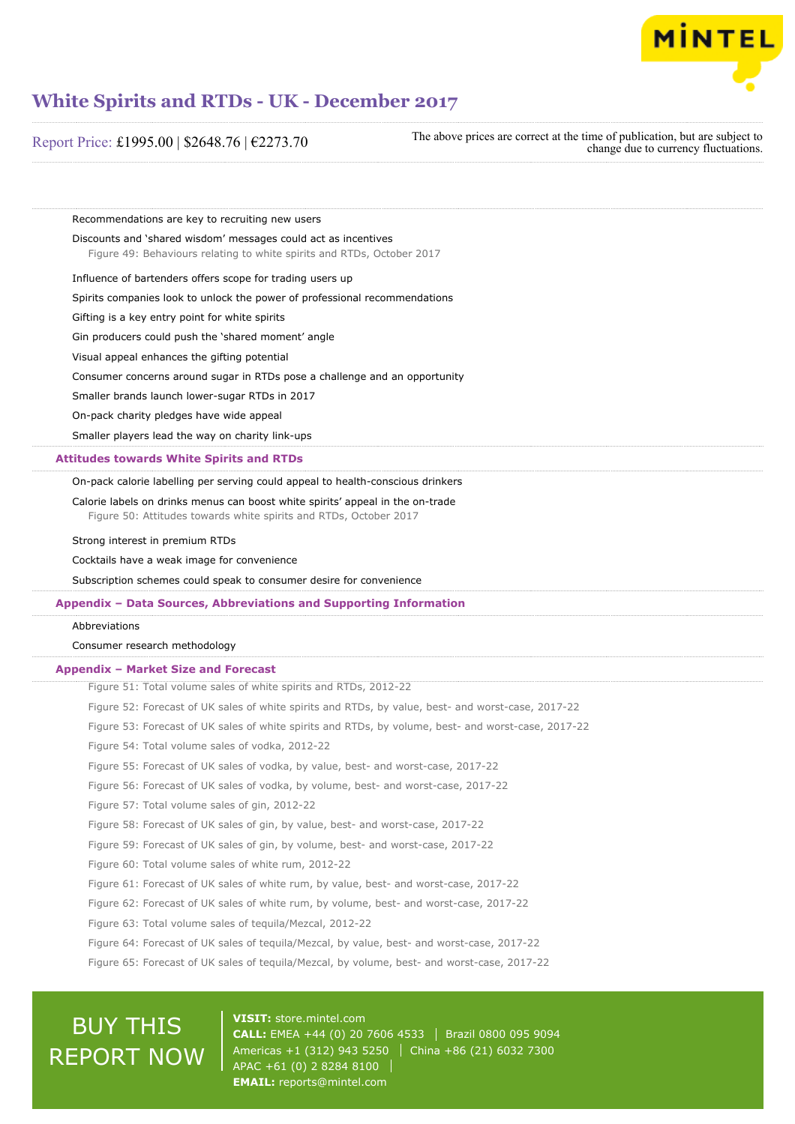

Report Price: £1995.00 | \$2648.76 | €2273.70

The above prices are correct at the time of publication, but are subject to change due to currency fluctuations.

Recommendations are key to recruiting new users

Discounts and 'shared wisdom' messages could act as incentives

Figure 49: Behaviours relating to white spirits and RTDs, October 2017

Influence of bartenders offers scope for trading users up

Spirits companies look to unlock the power of professional recommendations

Gifting is a key entry point for white spirits

Gin producers could push the 'shared moment' angle

Visual appeal enhances the gifting potential

Consumer concerns around sugar in RTDs pose a challenge and an opportunity

Smaller brands launch lower-sugar RTDs in 2017

On-pack charity pledges have wide appeal

Smaller players lead the way on charity link-ups

# **Attitudes towards White Spirits and RTDs**

On-pack calorie labelling per serving could appeal to health-conscious drinkers

Calorie labels on drinks menus can boost white spirits' appeal in the on-trade Figure 50: Attitudes towards white spirits and RTDs, October 2017

Strong interest in premium RTDs

Cocktails have a weak image for convenience

Subscription schemes could speak to consumer desire for convenience

**Appendix – Data Sources, Abbreviations and Supporting Information**

# Abbreviations

Consumer research methodology

### **Appendix – Market Size and Forecast**

Figure 51: Total volume sales of white spirits and RTDs, 2012-22 Figure 52: Forecast of UK sales of white spirits and RTDs, by value, best- and worst-case, 2017-22 Figure 53: Forecast of UK sales of white spirits and RTDs, by volume, best- and worst-case, 2017-22 Figure 54: Total volume sales of vodka, 2012-22 Figure 55: Forecast of UK sales of vodka, by value, best- and worst-case, 2017-22 Figure 56: Forecast of UK sales of vodka, by volume, best- and worst-case, 2017-22 Figure 57: Total volume sales of gin, 2012-22 Figure 58: Forecast of UK sales of gin, by value, best- and worst-case, 2017-22 Figure 59: Forecast of UK sales of gin, by volume, best- and worst-case, 2017-22 Figure 60: Total volume sales of white rum, 2012-22 Figure 61: Forecast of UK sales of white rum, by value, best- and worst-case, 2017-22 Figure 62: Forecast of UK sales of white rum, by volume, best- and worst-case, 2017-22 Figure 63: Total volume sales of tequila/Mezcal, 2012-22 Figure 64: Forecast of UK sales of tequila/Mezcal, by value, best- and worst-case, 2017-22

Figure 65: Forecast of UK sales of tequila/Mezcal, by volume, best- and worst-case, 2017-22

# BUY THIS REPORT NOW